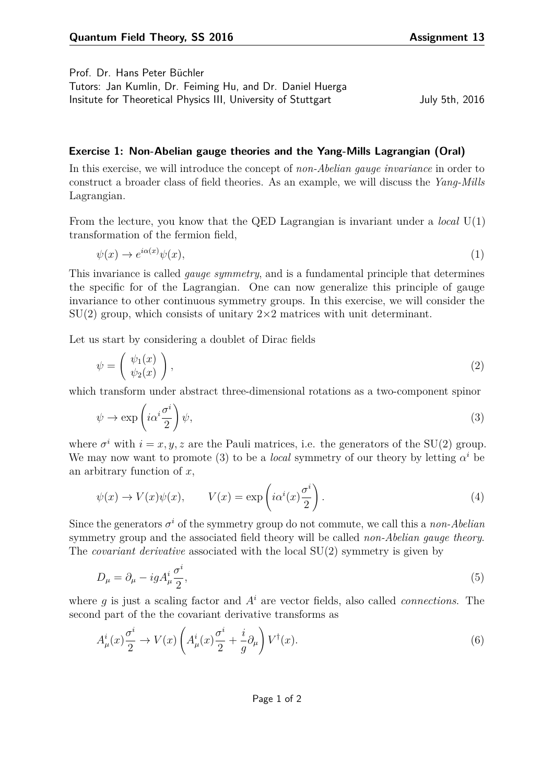Prof. Dr. Hans Peter Büchler

Tutors: Jan Kumlin, Dr. Feiming Hu, and Dr. Daniel Huerga Insitute for Theoretical Physics III, University of Stuttgart July 5th, 2016

<span id="page-0-0"></span>

## **Exercise 1: Non-Abelian gauge theories and the Yang-Mills Lagrangian (Oral)**

In this exercise, we will introduce the concept of *non-Abelian gauge invariance* in order to construct a broader class of field theories. As an example, we will discuss the *Yang-Mills* Lagrangian.

From the lecture, you know that the QED Lagrangian is invariant under a *local* U(1) transformation of the fermion field,

$$
\psi(x) \to e^{i\alpha(x)}\psi(x),\tag{1}
$$

This invariance is called *gauge symmetry*, and is a fundamental principle that determines the specific for of the Lagrangian. One can now generalize this principle of gauge invariance to other continuous symmetry groups. In this exercise, we will consider the  $SU(2)$  group, which consists of unitary  $2\times 2$  matrices with unit determinant.

Let us start by considering a doublet of Dirac fields

$$
\psi = \left(\begin{array}{c} \psi_1(x) \\ \psi_2(x) \end{array}\right),\tag{2}
$$

which transform under abstract three-dimensional rotations as a two-component spinor

$$
\psi \to \exp\left(i\alpha^i \frac{\sigma^i}{2}\right)\psi,\tag{3}
$$

where  $\sigma^i$  with  $i = x, y, z$  are the Pauli matrices, i.e. the generators of the SU(2) group. We may now want to promote [\(3\)](#page-0-0) to be a *local* symmetry of our theory by letting  $\alpha^i$  be an arbitrary function of *x*,

$$
\psi(x) \to V(x)\psi(x), \qquad V(x) = \exp\left(i\alpha^i(x)\frac{\sigma^i}{2}\right).
$$
\n(4)

Since the generators  $\sigma^i$  of the symmetry group do not commute, we call this a *non-Abelian* symmetry group and the associated field theory will be called *non-Abelian gauge theory*. The *covariant derivative* associated with the local SU(2) symmetry is given by

$$
D_{\mu} = \partial_{\mu} - igA_{\mu}^{i} \frac{\sigma^{i}}{2},\tag{5}
$$

where *g* is just a scaling factor and *A<sup>i</sup>* are vector fields, also called *connections*. The second part of the the covariant derivative transforms as

$$
A^i_\mu(x)\frac{\sigma^i}{2} \to V(x)\left(A^i_\mu(x)\frac{\sigma^i}{2} + \frac{i}{g}\partial_\mu\right)V^\dagger(x). \tag{6}
$$